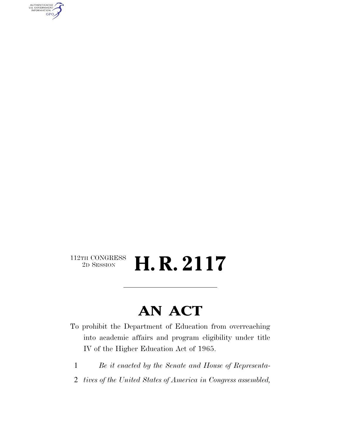AUTHENTICATED<br>U.S. GOVERNMENT<br>INFORMATION GPO

#### $\begin{array}{c} \textbf{112TH CONGRESS} \\ \textbf{2D} \textbf{SESSION} \end{array}$ 2D SESSION **H. R. 2117**

### **AN ACT**

- To prohibit the Department of Education from overreaching into academic affairs and program eligibility under title IV of the Higher Education Act of 1965.
	- 1 *Be it enacted by the Senate and House of Representa-*
- 2 *tives of the United States of America in Congress assembled,*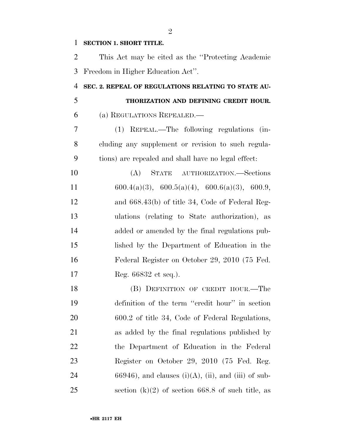#### **SECTION 1. SHORT TITLE.**

 This Act may be cited as the ''Protecting Academic Freedom in Higher Education Act''.

#### **SEC. 2. REPEAL OF REGULATIONS RELATING TO STATE AU- THORIZATION AND DEFINING CREDIT HOUR.**  (a) REGULATIONS REPEALED.—

 (1) REPEAL.—The following regulations (in- cluding any supplement or revision to such regula-tions) are repealed and shall have no legal effect:

 (A) STATE AUTHORIZATION.—Sections 11 600.4(a)(3), 600.5(a)(4), 600.6(a)(3), 600.9, and 668.43(b) of title 34, Code of Federal Reg- ulations (relating to State authorization), as added or amended by the final regulations pub- lished by the Department of Education in the Federal Register on October 29, 2010 (75 Fed. Reg. 66832 et seq.).

 (B) DEFINITION OF CREDIT HOUR.—The definition of the term ''credit hour'' in section 600.2 of title 34, Code of Federal Regulations, as added by the final regulations published by the Department of Education in the Federal Register on October 29, 2010 (75 Fed. Reg. 24 66946), and clauses (i)(A), (ii), and (iii) of sub-25 section  $(k)(2)$  of section 668.8 of such title, as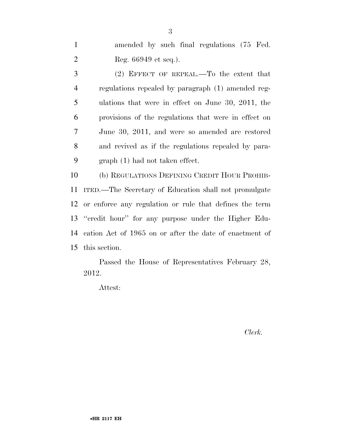1 amended by such final regulations (75 Fed. Reg. 66949 et seq.).

 (2) EFFECT OF REPEAL.—To the extent that regulations repealed by paragraph (1) amended reg- ulations that were in effect on June 30, 2011, the provisions of the regulations that were in effect on June 30, 2011, and were so amended are restored and revived as if the regulations repealed by para-graph (1) had not taken effect.

 (b) REGULATIONS DEFINING CREDIT HOUR PROHIB- ITED.—The Secretary of Education shall not promulgate or enforce any regulation or rule that defines the term ''credit hour'' for any purpose under the Higher Edu- cation Act of 1965 on or after the date of enactment of this section.

Passed the House of Representatives February 28, 2012.

Attest:

*Clerk.*